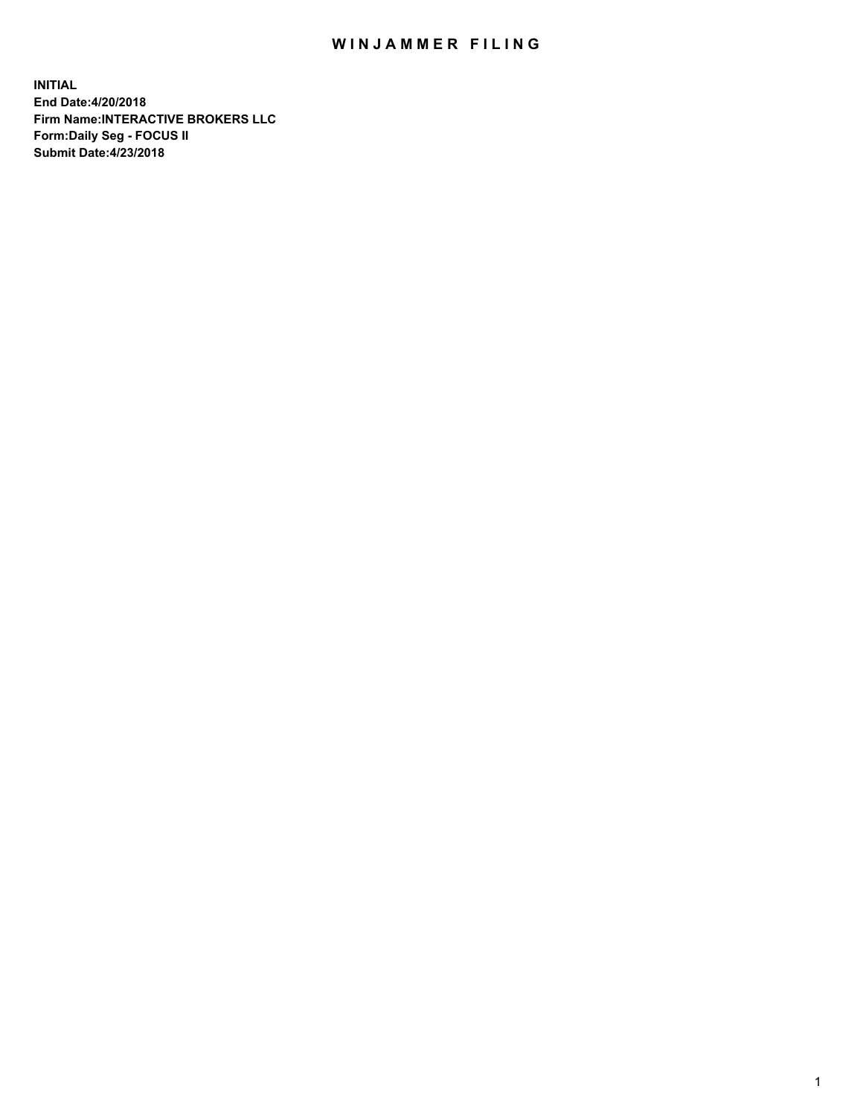## WIN JAMMER FILING

**INITIAL End Date:4/20/2018 Firm Name:INTERACTIVE BROKERS LLC Form:Daily Seg - FOCUS II Submit Date:4/23/2018**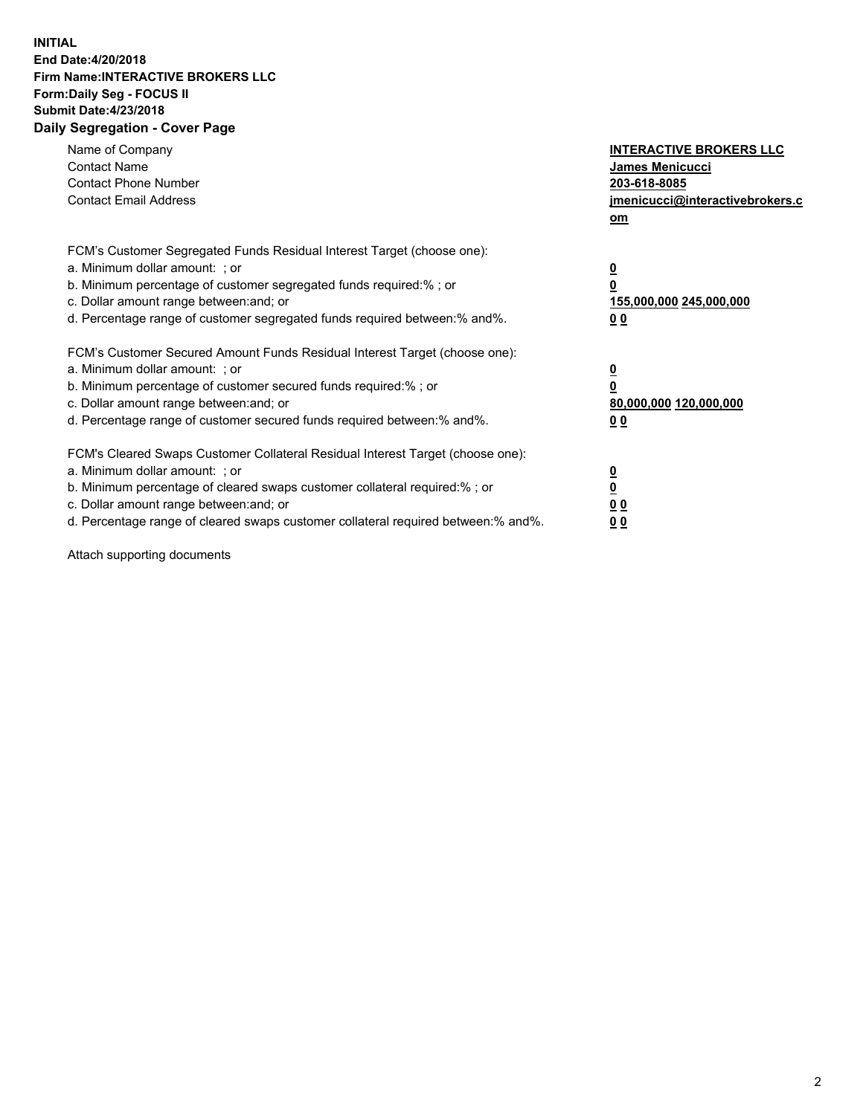## **INITIAL End Date:4/20/2018 Firm Name:INTERACTIVE BROKERS LLC Form:Daily Seg - FOCUS II Submit Date:4/23/2018 Daily Segregation - Cover Page**

| Name of Company<br><b>Contact Name</b><br><b>Contact Phone Number</b><br><b>Contact Email Address</b>                                                                                                                                                                                                                          | <b>INTERACTIVE BROKERS LLC</b><br><b>James Menicucci</b><br>203-618-8085<br>jmenicucci@interactivebrokers.c<br>om |
|--------------------------------------------------------------------------------------------------------------------------------------------------------------------------------------------------------------------------------------------------------------------------------------------------------------------------------|-------------------------------------------------------------------------------------------------------------------|
| FCM's Customer Segregated Funds Residual Interest Target (choose one):<br>a. Minimum dollar amount: ; or<br>b. Minimum percentage of customer segregated funds required:% ; or<br>c. Dollar amount range between: and; or<br>d. Percentage range of customer segregated funds required between: % and %.                       | $\overline{\mathbf{0}}$<br>0<br>155,000,000 245,000,000<br>00                                                     |
| FCM's Customer Secured Amount Funds Residual Interest Target (choose one):<br>a. Minimum dollar amount: ; or<br>b. Minimum percentage of customer secured funds required:%; or<br>c. Dollar amount range between: and; or<br>d. Percentage range of customer secured funds required between: % and %.                          | $\overline{\mathbf{0}}$<br>0<br>80,000,000 120,000,000<br>0 <sub>0</sub>                                          |
| FCM's Cleared Swaps Customer Collateral Residual Interest Target (choose one):<br>a. Minimum dollar amount: ; or<br>b. Minimum percentage of cleared swaps customer collateral required:% ; or<br>c. Dollar amount range between: and; or<br>d. Percentage range of cleared swaps customer collateral required between:% and%. | $\overline{\mathbf{0}}$<br>$\underline{\mathbf{0}}$<br>0 <sub>0</sub><br>0 <sub>0</sub>                           |

Attach supporting documents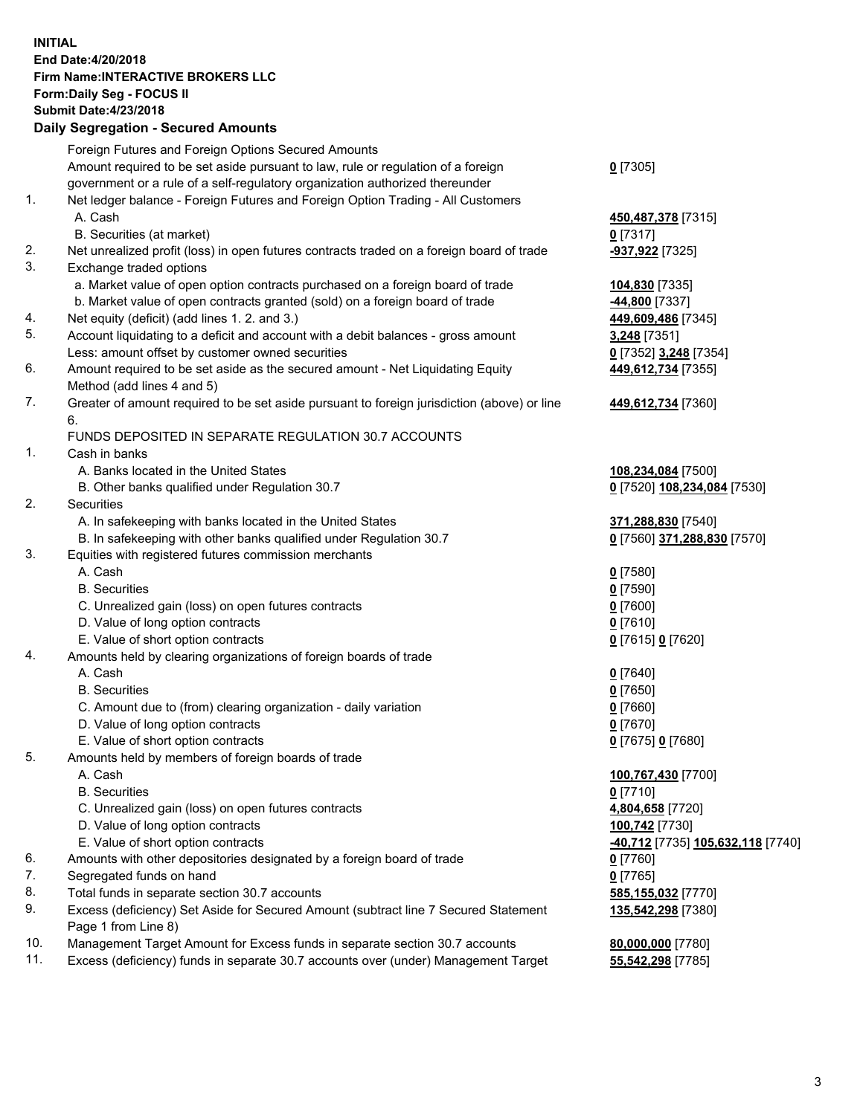## **INITIAL End Date:4/20/2018 Firm Name:INTERACTIVE BROKERS LLC Form:Daily Seg - FOCUS II Submit Date:4/23/2018 Daily Segregation - Secured Amounts**

|                | Daily Jegregation - Jeculed Aniounts                                                                       |                                   |
|----------------|------------------------------------------------------------------------------------------------------------|-----------------------------------|
|                | Foreign Futures and Foreign Options Secured Amounts                                                        |                                   |
|                | Amount required to be set aside pursuant to law, rule or regulation of a foreign                           | $0$ [7305]                        |
|                | government or a rule of a self-regulatory organization authorized thereunder                               |                                   |
| 1.             | Net ledger balance - Foreign Futures and Foreign Option Trading - All Customers                            |                                   |
|                | A. Cash                                                                                                    | 450,487,378 [7315]                |
|                | B. Securities (at market)                                                                                  | $0$ [7317]                        |
| 2.             | Net unrealized profit (loss) in open futures contracts traded on a foreign board of trade                  | -937,922 [7325]                   |
| 3.             | Exchange traded options                                                                                    |                                   |
|                | a. Market value of open option contracts purchased on a foreign board of trade                             | 104,830 [7335]                    |
|                | b. Market value of open contracts granted (sold) on a foreign board of trade                               | -44,800 [7337]                    |
| 4.             | Net equity (deficit) (add lines 1.2. and 3.)                                                               | 449,609,486 [7345]                |
| 5.             | Account liquidating to a deficit and account with a debit balances - gross amount                          | 3,248 [7351]                      |
|                | Less: amount offset by customer owned securities                                                           | 0 [7352] 3,248 [7354]             |
| 6.             | Amount required to be set aside as the secured amount - Net Liquidating Equity                             | 449,612,734 [7355]                |
|                | Method (add lines 4 and 5)                                                                                 |                                   |
| 7.             | Greater of amount required to be set aside pursuant to foreign jurisdiction (above) or line                | 449,612,734 [7360]                |
|                | 6.                                                                                                         |                                   |
|                | FUNDS DEPOSITED IN SEPARATE REGULATION 30.7 ACCOUNTS                                                       |                                   |
| $\mathbf{1}$ . | Cash in banks                                                                                              |                                   |
|                | A. Banks located in the United States                                                                      | 108,234,084 [7500]                |
|                | B. Other banks qualified under Regulation 30.7                                                             | 0 [7520] 108,234,084 [7530]       |
| 2.             | Securities                                                                                                 |                                   |
|                | A. In safekeeping with banks located in the United States                                                  | 371,288,830 [7540]                |
|                | B. In safekeeping with other banks qualified under Regulation 30.7                                         | 0 [7560] 371,288,830 [7570]       |
| 3.             | Equities with registered futures commission merchants                                                      |                                   |
|                | A. Cash                                                                                                    | $0$ [7580]                        |
|                | <b>B.</b> Securities                                                                                       | $0$ [7590]                        |
|                | C. Unrealized gain (loss) on open futures contracts                                                        | $0$ [7600]                        |
|                | D. Value of long option contracts                                                                          | $0$ [7610]                        |
|                | E. Value of short option contracts                                                                         | 0 [7615] 0 [7620]                 |
| 4.             | Amounts held by clearing organizations of foreign boards of trade                                          |                                   |
|                | A. Cash                                                                                                    | $0$ [7640]                        |
|                | <b>B.</b> Securities                                                                                       | $0$ [7650]                        |
|                | C. Amount due to (from) clearing organization - daily variation                                            | $0$ [7660]                        |
|                | D. Value of long option contracts                                                                          | $0$ [7670]                        |
|                | E. Value of short option contracts                                                                         | 0 [7675] 0 [7680]                 |
| 5.             | Amounts held by members of foreign boards of trade                                                         |                                   |
|                | A. Cash                                                                                                    | 100,767,430 [7700]                |
|                | <b>B.</b> Securities                                                                                       | $0$ [7710]                        |
|                | C. Unrealized gain (loss) on open futures contracts                                                        | 4,804,658 [7720]                  |
|                | D. Value of long option contracts                                                                          | 100,742 [7730]                    |
|                | E. Value of short option contracts                                                                         | -40,712 [7735] 105,632,118 [7740] |
| 6.             | Amounts with other depositories designated by a foreign board of trade                                     | 0 [7760]                          |
| 7.             | Segregated funds on hand                                                                                   | $0$ [7765]                        |
| 8.             | Total funds in separate section 30.7 accounts                                                              | 585,155,032 [7770]                |
| 9.             | Excess (deficiency) Set Aside for Secured Amount (subtract line 7 Secured Statement<br>Page 1 from Line 8) | 135,542,298 [7380]                |
| 10.            | Management Target Amount for Excess funds in separate section 30.7 accounts                                | 80,000,000 [7780]                 |
| 11.            | Excess (deficiency) funds in separate 30.7 accounts over (under) Management Target                         | 55,542,298 [7785]                 |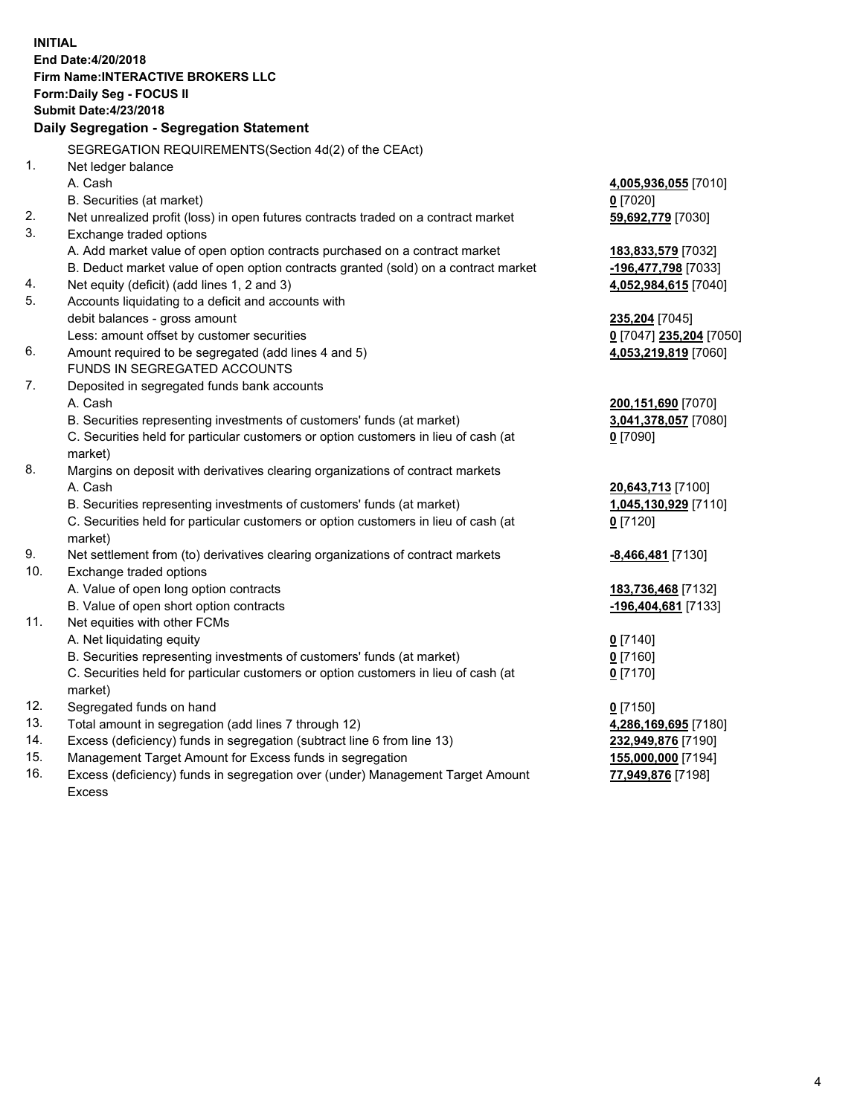**INITIAL End Date:4/20/2018 Firm Name:INTERACTIVE BROKERS LLC Form:Daily Seg - FOCUS II Submit Date:4/23/2018 Daily Segregation - Segregation Statement** SEGREGATION REQUIREMENTS(Section 4d(2) of the CEAct) 1. Net ledger balance A. Cash **4,005,936,055** [7010] B. Securities (at market) **0** [7020] 2. Net unrealized profit (loss) in open futures contracts traded on a contract market **59,692,779** [7030] 3. Exchange traded options A. Add market value of open option contracts purchased on a contract market **183,833,579** [7032] B. Deduct market value of open option contracts granted (sold) on a contract market **-196,477,798** [7033] 4. Net equity (deficit) (add lines 1, 2 and 3) **4,052,984,615** [7040] 5. Accounts liquidating to a deficit and accounts with debit balances - gross amount **235,204** [7045] Less: amount offset by customer securities **0** [7047] **235,204** [7050] 6. Amount required to be segregated (add lines 4 and 5) **4,053,219,819** [7060] FUNDS IN SEGREGATED ACCOUNTS 7. Deposited in segregated funds bank accounts A. Cash **200,151,690** [7070] B. Securities representing investments of customers' funds (at market) **3,041,378,057** [7080] C. Securities held for particular customers or option customers in lieu of cash (at market) **0** [7090] 8. Margins on deposit with derivatives clearing organizations of contract markets A. Cash **20,643,713** [7100] B. Securities representing investments of customers' funds (at market) **1,045,130,929** [7110] C. Securities held for particular customers or option customers in lieu of cash (at market) **0** [7120] 9. Net settlement from (to) derivatives clearing organizations of contract markets **-8,466,481** [7130] 10. Exchange traded options A. Value of open long option contracts **183,736,468** [7132] B. Value of open short option contracts **-196,404,681** [7133] 11. Net equities with other FCMs A. Net liquidating equity **0** [7140] B. Securities representing investments of customers' funds (at market) **0** [7160] C. Securities held for particular customers or option customers in lieu of cash (at market) **0** [7170] 12. Segregated funds on hand **0** [7150] 13. Total amount in segregation (add lines 7 through 12) **4,286,169,695** [7180] 14. Excess (deficiency) funds in segregation (subtract line 6 from line 13) **232,949,876** [7190] 15. Management Target Amount for Excess funds in segregation **155,000,000** [7194] **77,949,876** [7198]

16. Excess (deficiency) funds in segregation over (under) Management Target Amount Excess